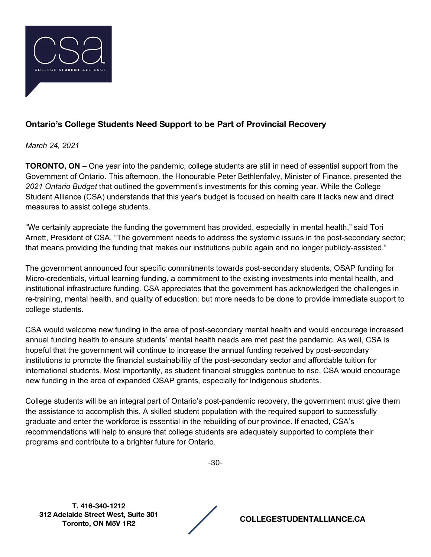

## **Ontario's College Students Need Support to be Part of Provincial Recovery**

*March 24, 2021*

**TORONTO, ON** – One year into the pandemic, college students are still in need of essential support from the Government of Ontario. This afternoon, the Honourable Peter Bethlenfalvy, Minister of Finance, presented the *2021 Ontario Budget* that outlined the government's investments for this coming year. While the College Student Alliance (CSA) understands that this year's budget is focused on health care it lacks new and direct measures to assist college students.

"We certainly appreciate the funding the government has provided, especially in mental health," said Tori Arnett, President of CSA, "The government needs to address the systemic issues in the post-secondary sector; that means providing the funding that makes our institutions public again and no longer publicly-assisted."

The government announced four specific commitments towards post-secondary students, OSAP funding for Micro-credentials, virtual learning funding, a commitment to the existing investments into mental health, and institutional infrastructure funding. CSA appreciates that the government has acknowledged the challenges in re-training, mental health, and quality of education; but more needs to be done to provide immediate support to college students.

CSA would welcome new funding in the area of post-secondary mental health and would encourage increased annual funding health to ensure students' mental health needs are met past the pandemic. As well, CSA is hopeful that the government will continue to increase the annual funding received by post-secondary institutions to promote the financial sustainability of the post-secondary sector and affordable tuition for international students. Most importantly, as student financial struggles continue to rise, CSA would encourage new funding in the area of expanded OSAP grants, especially for Indigenous students.

College students will be an integral part of Ontario's post-pandemic recovery, the government must give them the assistance to accomplish this. A skilled student population with the required support to successfully graduate and enter the workforce is essential in the rebuilding of our province. If enacted, CSA's recommendations will help to ensure that college students are adequately supported to complete their programs and contribute to a brighter future for Ontario.

-30-

**T. 416-340-1212 312 Adelaide Street West, Suite 301** 

**Toronto, ON M5V 1R2 COLLEGESTUDENTALLIANCE.CA**